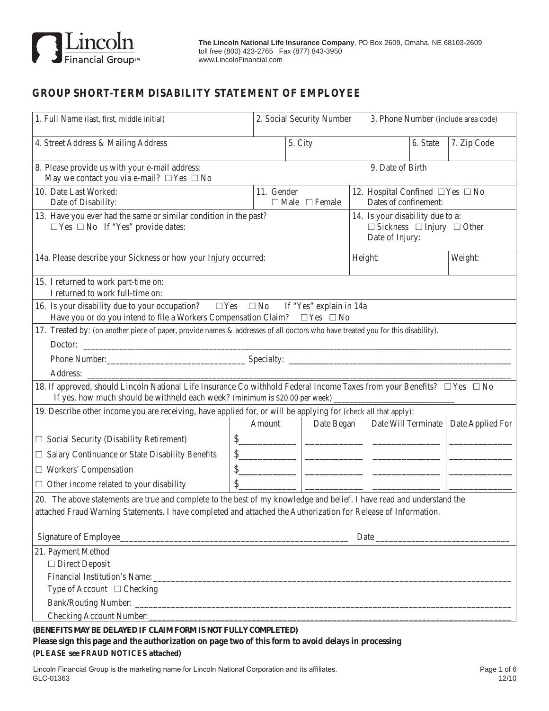

# **GROUP SHORT-TERM DISABILITY STATEMENT OF EMPLOYEE**

| 1. Full Name (last, first, middle initial)                                                                                                                                                                                                 |                                           | 2. Social Security Number                                                                         |                                                                                                                      | 3. Phone Number (include area code) |                                        |
|--------------------------------------------------------------------------------------------------------------------------------------------------------------------------------------------------------------------------------------------|-------------------------------------------|---------------------------------------------------------------------------------------------------|----------------------------------------------------------------------------------------------------------------------|-------------------------------------|----------------------------------------|
| 4. Street Address & Mailing Address                                                                                                                                                                                                        |                                           | 5. City                                                                                           |                                                                                                                      | 6. State                            | 7. Zip Code                            |
| 8. Please provide us with your e-mail address:<br>May we contact you via e-mail? $\Box$ Yes $\Box$ No                                                                                                                                      |                                           |                                                                                                   | 9. Date of Birth                                                                                                     |                                     |                                        |
| 10. Date Last Worked:<br>Date of Disability:                                                                                                                                                                                               | 11. Gender                                | $\Box$ Male $\Box$ Female                                                                         | 12. Hospital Confined $\square$ Yes $\square$ No<br>Dates of confinement:                                            |                                     |                                        |
| 13. Have you ever had the same or similar condition in the past?<br>$\Box$ Yes $\Box$ No If "Yes" provide dates:                                                                                                                           |                                           | 14. Is your disability due to a:<br>$\Box$ Sickness $\Box$ Injury $\Box$ Other<br>Date of Injury: |                                                                                                                      |                                     |                                        |
| 14a. Please describe your Sickness or how your Injury occurred:                                                                                                                                                                            |                                           | Height:                                                                                           |                                                                                                                      | Weight:                             |                                        |
| 15. I returned to work part-time on:<br>I returned to work full-time on:                                                                                                                                                                   |                                           |                                                                                                   |                                                                                                                      |                                     |                                        |
| 16. Is your disability due to your occupation? $\square$ Yes $\square$ No<br>If "Yes" explain in 14a<br>Have you or do you intend to file a Workers Compensation Claim? $\square$ Yes $\square$ No                                         |                                           |                                                                                                   |                                                                                                                      |                                     |                                        |
| 17. Treated by: (on another piece of paper, provide names & addresses of all doctors who have treated you for this disability).                                                                                                            |                                           |                                                                                                   |                                                                                                                      |                                     |                                        |
| Doctor:                                                                                                                                                                                                                                    |                                           |                                                                                                   |                                                                                                                      |                                     |                                        |
| Phone Number: Specialty: Specialty: Specialty: Specialty: Specialty: Specialty: Specialty: Specialty: Specialty: Specialty: Specialty: Specialty: Specialty: Specialty: Specialty: Specialty: Specialty: Specialty: Specialty:             |                                           |                                                                                                   |                                                                                                                      |                                     |                                        |
|                                                                                                                                                                                                                                            |                                           |                                                                                                   |                                                                                                                      |                                     |                                        |
| 18. If approved, should Lincoln National Life Insurance Co withhold Federal Income Taxes from your Benefits? □ Yes □ No<br>If yes, how much should be withheld each week? (minimum is \$20.00 per week) __________________________________ |                                           |                                                                                                   |                                                                                                                      |                                     |                                        |
| 19. Describe other income you are receiving, have applied for, or will be applying for (check all that apply):                                                                                                                             |                                           |                                                                                                   |                                                                                                                      |                                     |                                        |
|                                                                                                                                                                                                                                            | Amount                                    | Date Began                                                                                        |                                                                                                                      |                                     | Date Will Terminate   Date Applied For |
| $\Box$ Social Security (Disability Retirement)                                                                                                                                                                                             | $s$                                       |                                                                                                   | <u> 2000 - 2000 - 2000 - 2000 - 2000 - 2000 - 2000 - 2000 - 2000 - 2000 - 2000 - 2000 - 2000 - 2000 - 2000 - 200</u> |                                     |                                        |
| □ Salary Continuance or State Disability Benefits                                                                                                                                                                                          |                                           | $\frac{1}{2}$                                                                                     |                                                                                                                      |                                     |                                        |
| $\Box$ Workers' Compensation                                                                                                                                                                                                               | $\sim$ $\sim$ $\sim$ $\sim$ $\sim$ $\sim$ |                                                                                                   | $\overline{\phantom{a}}$                                                                                             |                                     |                                        |
| $\Box$ Other income related to your disability                                                                                                                                                                                             |                                           |                                                                                                   |                                                                                                                      |                                     |                                        |
| 20. The above statements are true and complete to the best of my knowledge and belief. I have read and understand the<br>attached Fraud Warning Statements. I have completed and attached the Authorization for Release of Information.    |                                           |                                                                                                   |                                                                                                                      |                                     |                                        |
| Signature of Employee                                                                                                                                                                                                                      |                                           |                                                                                                   |                                                                                                                      |                                     |                                        |
| 21. Payment Method                                                                                                                                                                                                                         |                                           |                                                                                                   |                                                                                                                      |                                     |                                        |
| □ Direct Deposit                                                                                                                                                                                                                           |                                           |                                                                                                   |                                                                                                                      |                                     |                                        |
|                                                                                                                                                                                                                                            |                                           |                                                                                                   |                                                                                                                      |                                     |                                        |
| Type of Account $\Box$ Checking                                                                                                                                                                                                            |                                           |                                                                                                   |                                                                                                                      |                                     |                                        |
| Checking Account Number:                                                                                                                                                                                                                   |                                           |                                                                                                   |                                                                                                                      |                                     |                                        |
|                                                                                                                                                                                                                                            |                                           |                                                                                                   |                                                                                                                      |                                     |                                        |

*(BENEFITS MAY BE DELAYED IF CLAIM FORM IS NOT FULLY COMPLETED)*

**Please sign this page and the authorization on page two of this form to avoid delays in processing (PLEASE see FRAUD NOTICES attached)**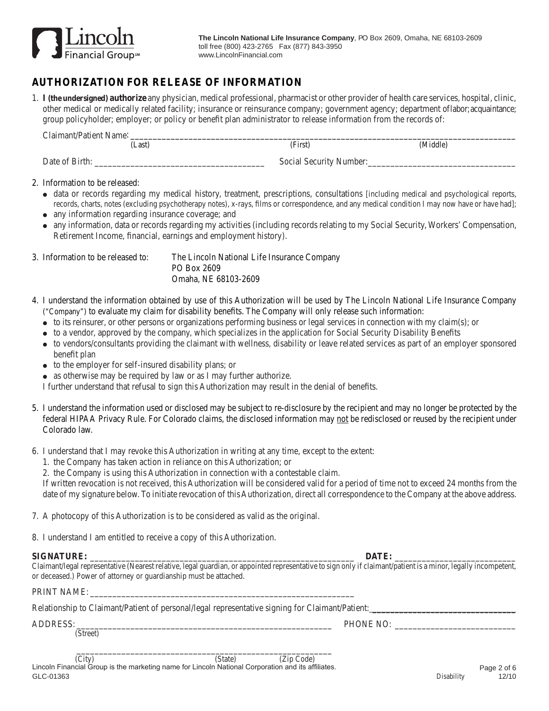

# **AUTHORIZATION FOR RELEASE OF INFORMATION**

1. **I (the undersigned) authorize** any physician, medical professional, pharmacist or other provider of health care services, hospital, clinic, other medical or medically related facility; insurance or reinsurance company; government agency; department of labor; acquaintance; group policyholder; employer; or policy or benefit plan administrator to release information from the records of:

| Claimant/Patient Name: |                         |          |
|------------------------|-------------------------|----------|
| Last)                  | (First)                 | (Middle) |
| Date of Birth:         | Social Security Number: |          |

### 2. Information to be released:

- <sup>d</sup> data or records regarding my medical history, treatment, prescriptions, consultations [including medical and psychological reports, records, charts, notes (excluding psychotherapy notes), x-rays, films or correspondence, and any medical condition I may now have or have had];
- any information regarding insurance coverage; and
- <sup>d</sup> any information, data or records regarding my activities (including records relating to my Social Security, Workers' Compensation, Retirement Income, financial, earnings and employment history).

3. Information to be released to: The Lincoln National Life Insurance Company PO Box 2609 Omaha, NE 68103-2609

- 4. I understand the information obtained by use of this Authorization will be used by The Lincoln National Life Insurance Company ("Company") to evaluate my claim for disability benefits. The Company will only release such information:
	- <sup>d</sup> to its reinsurer, or other persons or organizations performing business or legal services in connection with my claim(s); or
	- <sup>d</sup> to a vendor, approved by the company, which specializes in the application for Social Security Disability Benefits
	- <sup>d</sup> to vendors/consultants providing the claimant with wellness, disability or leave related services as part of an employer sponsored benefit plan
	- to the employer for self-insured disability plans; or
	- as otherwise may be required by law or as I may further authorize.

I further understand that refusal to sign this Authorization may result in the denial of benefits.

- 5. I understand the information used or disclosed may be subject to re-disclosure by the recipient and may no longer be protected by the federal HIPAA Privacy Rule. For Colorado claims, the disclosed information may not be redisclosed or reused by the recipient under Colorado law.
- 6. I understand that I may revoke this Authorization in writing at any time, except to the extent:
	- 1. the Company has taken action in reliance on this Authorization; or
	- 2. the Company is using this Authorization in connection with a contestable claim.

If written revocation is not received, this Authorization will be considered valid for a period of time not to exceed 24 months from the date of my signature below. To initiate revocation of this Authorization, direct all correspondence to the Company at the above address.

7. A photocopy of this Authorization is to be considered as valid as the original.

8. I understand I am entitled to receive a copy of this Authorization.

#### **SIGNATURE:**  $\blacksquare$

Claimant/legal representative (Nearest relative, legal guardian, or appointed representative to sign only if claimant/patient is a minor, legally incompetent, or deceased.) Power of attorney or guardianship must be attached.

PRINT NAME:

| Relationship to Claimant/Patient of personal/legal representative signing for Claimant/Patient: |  |  |
|-------------------------------------------------------------------------------------------------|--|--|
|                                                                                                 |  |  |

(Street)

ADDRESS: THONE NO:

 Page 2 of 6 Lincoln Financial Group is the marketing name for Lincoln National Corporation and its affiliates. GLC-01363 Disability 12/10 \_\_\_\_\_\_\_\_\_\_\_\_\_\_\_\_\_\_\_\_\_\_\_\_\_\_\_\_\_\_\_\_\_\_\_\_\_\_\_\_\_\_\_\_\_\_\_\_\_\_\_\_\_\_\_\_\_ (City) (State) (Zip Code)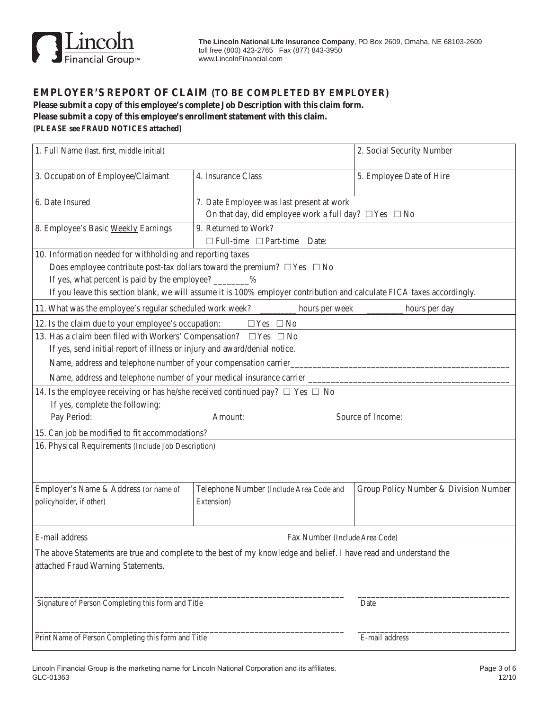

### **EMPLOYER'S Report of Claim (To be completed by employer)**

**Please submit a copy of this employee's complete Job Description with this claim form. Please submit a copy of this employee's enrollment statement with this claim. (PLEASE see FRAUD NOTICES attached)**

| 1. Full Name (last, first, middle initial)                                                                        |                                                                                                                        | 2. Social Security Number             |  |  |  |
|-------------------------------------------------------------------------------------------------------------------|------------------------------------------------------------------------------------------------------------------------|---------------------------------------|--|--|--|
| 3. Occupation of Employee/Claimant                                                                                | 4. Insurance Class                                                                                                     | 5. Employee Date of Hire              |  |  |  |
| 6. Date Insured                                                                                                   | 7. Date Employee was last present at work<br>On that day, did employee work a full day? $\Box$ Yes $\Box$ No           |                                       |  |  |  |
| 8. Employee's Basic Weekly Earnings                                                                               | 9. Returned to Work?<br>$\Box$ Full-time $\Box$ Part-time Date:                                                        |                                       |  |  |  |
| 10. Information needed for withholding and reporting taxes                                                        |                                                                                                                        |                                       |  |  |  |
| Does employee contribute post-tax dollars toward the premium? $\Box$ Yes $\Box$ No                                |                                                                                                                        |                                       |  |  |  |
| If yes, what percent is paid by the employee? ________%                                                           |                                                                                                                        |                                       |  |  |  |
|                                                                                                                   | If you leave this section blank, we will assume it is 100% employer contribution and calculate FICA taxes accordingly. |                                       |  |  |  |
| 11. What was the employee's regular scheduled work week?                                                          | hours per week                                                                                                         | hours per day                         |  |  |  |
| 12. Is the claim due to your employee's occupation:                                                               | $\Box$ Yes $\Box$ No                                                                                                   |                                       |  |  |  |
| 13. Has a claim been filed with Workers' Compensation? $\square$ Yes $\square$ No                                 |                                                                                                                        |                                       |  |  |  |
| If yes, send initial report of illness or injury and award/denial notice.                                         |                                                                                                                        |                                       |  |  |  |
| Name, address and telephone number of your compensation carrier_                                                  |                                                                                                                        |                                       |  |  |  |
| Name, address and telephone number of your medical insurance carrier _______                                      |                                                                                                                        |                                       |  |  |  |
| 14. Is the employee receiving or has he/she received continued pay? $\Box$ Yes $\Box$ No                          |                                                                                                                        |                                       |  |  |  |
| If yes, complete the following:                                                                                   |                                                                                                                        |                                       |  |  |  |
| Pay Period:                                                                                                       | Amount:                                                                                                                | Source of Income:                     |  |  |  |
| 15. Can job be modified to fit accommodations?                                                                    |                                                                                                                        |                                       |  |  |  |
| 16. Physical Requirements (Include Job Description)                                                               |                                                                                                                        |                                       |  |  |  |
|                                                                                                                   |                                                                                                                        |                                       |  |  |  |
| Employer's Name & Address (or name of                                                                             | Telephone Number (Include Area Code and                                                                                | Group Policy Number & Division Number |  |  |  |
| policyholder, if other)                                                                                           | Extension)                                                                                                             |                                       |  |  |  |
|                                                                                                                   |                                                                                                                        |                                       |  |  |  |
| E-mail address<br>Fax Number (Include Area Code)                                                                  |                                                                                                                        |                                       |  |  |  |
| The above Statements are true and complete to the best of my knowledge and belief. I have read and understand the |                                                                                                                        |                                       |  |  |  |
| attached Fraud Warning Statements.                                                                                |                                                                                                                        |                                       |  |  |  |
|                                                                                                                   |                                                                                                                        |                                       |  |  |  |
|                                                                                                                   |                                                                                                                        |                                       |  |  |  |
| Signature of Person Completing this form and Title                                                                |                                                                                                                        | Date                                  |  |  |  |
|                                                                                                                   |                                                                                                                        |                                       |  |  |  |
|                                                                                                                   |                                                                                                                        |                                       |  |  |  |
| Print Name of Person Completing this form and Title                                                               |                                                                                                                        | E-mail address                        |  |  |  |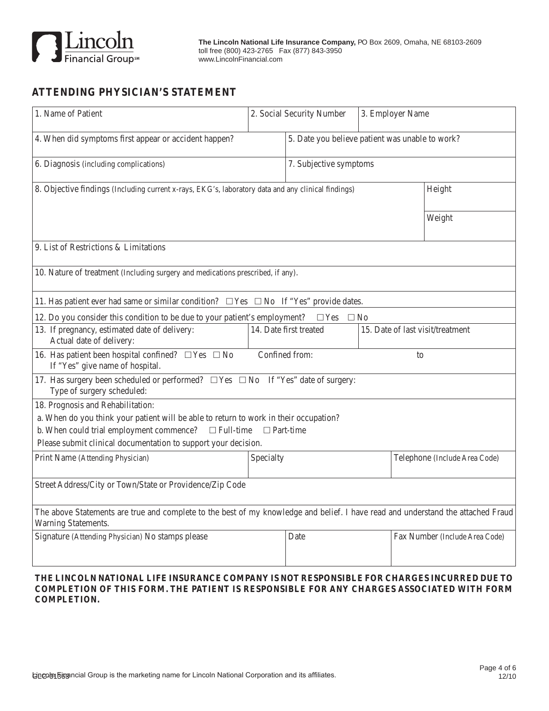

## **ATTENDING PHYSICIAN'S STATEMENT**

|                                                                                                                                  | 5. Date you believe patient was unable to work?<br>7. Subjective symptoms                          |                                                                                                                                                                                                                                                                                                                                                                                                             |                                |  |
|----------------------------------------------------------------------------------------------------------------------------------|----------------------------------------------------------------------------------------------------|-------------------------------------------------------------------------------------------------------------------------------------------------------------------------------------------------------------------------------------------------------------------------------------------------------------------------------------------------------------------------------------------------------------|--------------------------------|--|
|                                                                                                                                  |                                                                                                    |                                                                                                                                                                                                                                                                                                                                                                                                             |                                |  |
|                                                                                                                                  |                                                                                                    |                                                                                                                                                                                                                                                                                                                                                                                                             |                                |  |
|                                                                                                                                  | 8. Objective findings (Including current x-rays, EKG's, laboratory data and any clinical findings) |                                                                                                                                                                                                                                                                                                                                                                                                             |                                |  |
|                                                                                                                                  |                                                                                                    |                                                                                                                                                                                                                                                                                                                                                                                                             | Weight                         |  |
|                                                                                                                                  |                                                                                                    |                                                                                                                                                                                                                                                                                                                                                                                                             |                                |  |
|                                                                                                                                  |                                                                                                    |                                                                                                                                                                                                                                                                                                                                                                                                             |                                |  |
| 11. Has patient ever had same or similar condition? $\Box$ Yes $\Box$ No If "Yes" provide dates.                                 |                                                                                                    |                                                                                                                                                                                                                                                                                                                                                                                                             |                                |  |
|                                                                                                                                  | $\Box$ Yes                                                                                         |                                                                                                                                                                                                                                                                                                                                                                                                             |                                |  |
|                                                                                                                                  | 15. Date of last visit/treatment                                                                   |                                                                                                                                                                                                                                                                                                                                                                                                             |                                |  |
| 16. Has patient been hospital confined? $\Box$ Yes $\Box$ No<br>Confined from:<br>to<br>If "Yes" give name of hospital.          |                                                                                                    |                                                                                                                                                                                                                                                                                                                                                                                                             |                                |  |
|                                                                                                                                  |                                                                                                    |                                                                                                                                                                                                                                                                                                                                                                                                             |                                |  |
|                                                                                                                                  |                                                                                                    |                                                                                                                                                                                                                                                                                                                                                                                                             |                                |  |
|                                                                                                                                  |                                                                                                    |                                                                                                                                                                                                                                                                                                                                                                                                             |                                |  |
|                                                                                                                                  |                                                                                                    |                                                                                                                                                                                                                                                                                                                                                                                                             |                                |  |
|                                                                                                                                  |                                                                                                    |                                                                                                                                                                                                                                                                                                                                                                                                             |                                |  |
|                                                                                                                                  |                                                                                                    |                                                                                                                                                                                                                                                                                                                                                                                                             | Telephone (Include Area Code)  |  |
|                                                                                                                                  |                                                                                                    |                                                                                                                                                                                                                                                                                                                                                                                                             |                                |  |
| The above Statements are true and complete to the best of my knowledge and belief. I have read and understand the attached Fraud |                                                                                                    |                                                                                                                                                                                                                                                                                                                                                                                                             |                                |  |
| Warning Statements.<br>Signature (Attending Physician) No stamps please                                                          |                                                                                                    |                                                                                                                                                                                                                                                                                                                                                                                                             |                                |  |
|                                                                                                                                  |                                                                                                    |                                                                                                                                                                                                                                                                                                                                                                                                             | Fax Number (Include Area Code) |  |
|                                                                                                                                  | $\Box$ Full-time<br>Please submit clinical documentation to support your decision.<br>Specialty    | 10. Nature of treatment (Including surgery and medications prescribed, if any).<br>12. Do you consider this condition to be due to your patient's employment?<br>14. Date first treated<br>17. Has surgery been scheduled or performed? $\Box$ Yes $\Box$ No If "Yes" date of surgery:<br>a. When do you think your patient will be able to return to work in their occupation?<br>$\Box$ Part-time<br>Date | $\Box$ No                      |  |

### **The lincoln National Life INSURANCE COMPANY IS NOT RESPONSIBLE FOR CHARGES INCURRED DUE TO COMPLETION OF THIS FORM. THE PATIENT IS RESPONSIBLE FOR ANY CHARGES ASSOCIATED WITH FORM COMPLETION.**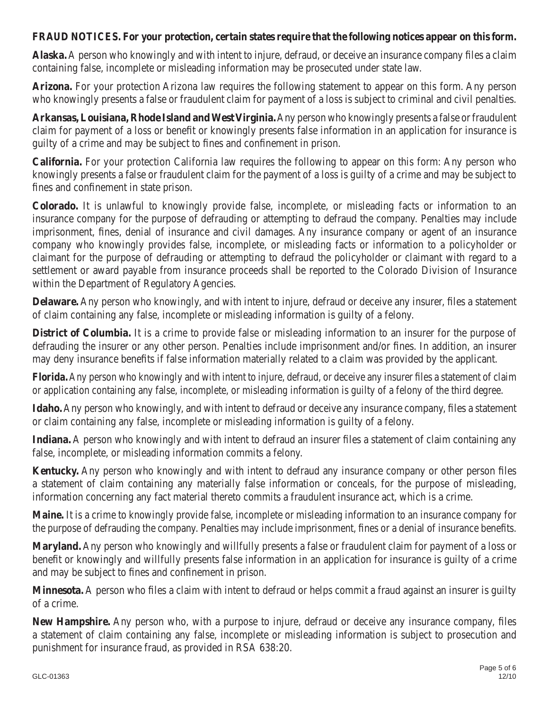## **FRAUD NOTICES. For your protection, certain states require that the following notices appear on this form.**

**Alaska.** A person who knowingly and with intent to injure, defraud, or deceive an insurance company files a claim containing false, incomplete or misleading information may be prosecuted under state law.

**Arizona.** For your protection Arizona law requires the following statement to appear on this form. Any person who knowingly presents a false or fraudulent claim for payment of a loss is subject to criminal and civil penalties.

**Arkansas, Louisiana, Rhode Island and West Virginia.** Any person who knowingly presents a false or fraudulent claim for payment of a loss or benefit or knowingly presents false information in an application for insurance is guilty of a crime and may be subject to fines and confinement in prison.

**California.** For your protection California law requires the following to appear on this form: Any person who knowingly presents a false or fraudulent claim for the payment of a loss is guilty of a crime and may be subject to fines and confinement in state prison.

**Colorado.** It is unlawful to knowingly provide false, incomplete, or misleading facts or information to an insurance company for the purpose of defrauding or attempting to defraud the company. Penalties may include imprisonment, fines, denial of insurance and civil damages. Any insurance company or agent of an insurance company who knowingly provides false, incomplete, or misleading facts or information to a policyholder or claimant for the purpose of defrauding or attempting to defraud the policyholder or claimant with regard to a settlement or award payable from insurance proceeds shall be reported to the Colorado Division of Insurance within the Department of Regulatory Agencies.

**Delaware.** Any person who knowingly, and with intent to injure, defraud or deceive any insurer, files a statement of claim containing any false, incomplete or misleading information is guilty of a felony.

**District of Columbia.** It is a crime to provide false or misleading information to an insurer for the purpose of defrauding the insurer or any other person. Penalties include imprisonment and/or fines. In addition, an insurer may deny insurance benefits if false information materially related to a claim was provided by the applicant.

**Florida.** Any person who knowingly and with intent to injure, defraud, or deceive any insurer files a statement of claim or application containing any false, incomplete, or misleading information is guilty of a felony of the third degree.

**Idaho.** Any person who knowingly, and with intent to defraud or deceive any insurance company, files a statement or claim containing any false, incomplete or misleading information is guilty of a felony.

**Indiana.** A person who knowingly and with intent to defraud an insurer files a statement of claim containing any false, incomplete, or misleading information commits a felony.

**Kentucky.** Any person who knowingly and with intent to defraud any insurance company or other person files a statement of claim containing any materially false information or conceals, for the purpose of misleading, information concerning any fact material thereto commits a fraudulent insurance act, which is a crime.

**Maine.** It is a crime to knowingly provide false, incomplete or misleading information to an insurance company for the purpose of defrauding the company. Penalties may include imprisonment, fines or a denial of insurance benefits.

**Maryland.** Any person who knowingly and willfully presents a false or fraudulent claim for payment of a loss or benefit or knowingly and willfully presents false information in an application for insurance is guilty of a crime and may be subject to fines and confinement in prison.

**Minnesota.** A person who files a claim with intent to defraud or helps commit a fraud against an insurer is guilty of a crime.

**New Hampshire.** Any person who, with a purpose to injure, defraud or deceive any insurance company, files a statement of claim containing any false, incomplete or misleading information is subject to prosecution and punishment for insurance fraud, as provided in RSA 638:20.